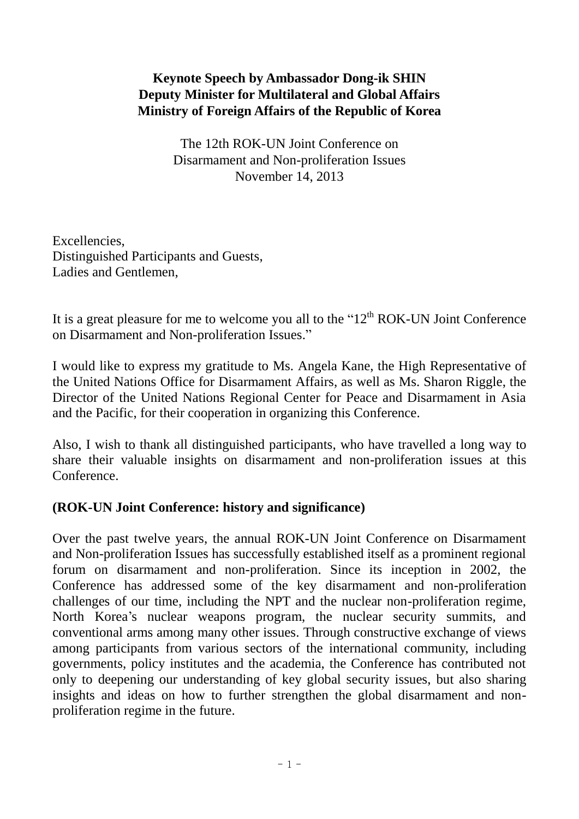# **Keynote Speech by Ambassador Dong-ik SHIN Deputy Minister for Multilateral and Global Affairs Ministry of Foreign Affairs of the Republic of Korea**

The 12th ROK-UN Joint Conference on Disarmament and Non-proliferation Issues November 14, 2013

Excellencies, Distinguished Participants and Guests, Ladies and Gentlemen,

It is a great pleasure for me to welcome you all to the " $12<sup>th</sup> ROK-UN$  Joint Conference on Disarmament and Non-proliferation Issues."

I would like to express my gratitude to Ms. Angela Kane, the High Representative of the United Nations Office for Disarmament Affairs, as well as Ms. Sharon Riggle, the Director of the United Nations Regional Center for Peace and Disarmament in Asia and the Pacific, for their cooperation in organizing this Conference.

Also, I wish to thank all distinguished participants, who have travelled a long way to share their valuable insights on disarmament and non-proliferation issues at this Conference.

### **(ROK-UN Joint Conference: history and significance)**

Over the past twelve years, the annual ROK-UN Joint Conference on Disarmament and Non-proliferation Issues has successfully established itself as a prominent regional forum on disarmament and non-proliferation. Since its inception in 2002, the Conference has addressed some of the key disarmament and non-proliferation challenges of our time, including the NPT and the nuclear non-proliferation regime, North Korea's nuclear weapons program, the nuclear security summits, and conventional arms among many other issues. Through constructive exchange of views among participants from various sectors of the international community, including governments, policy institutes and the academia, the Conference has contributed not only to deepening our understanding of key global security issues, but also sharing insights and ideas on how to further strengthen the global disarmament and nonproliferation regime in the future.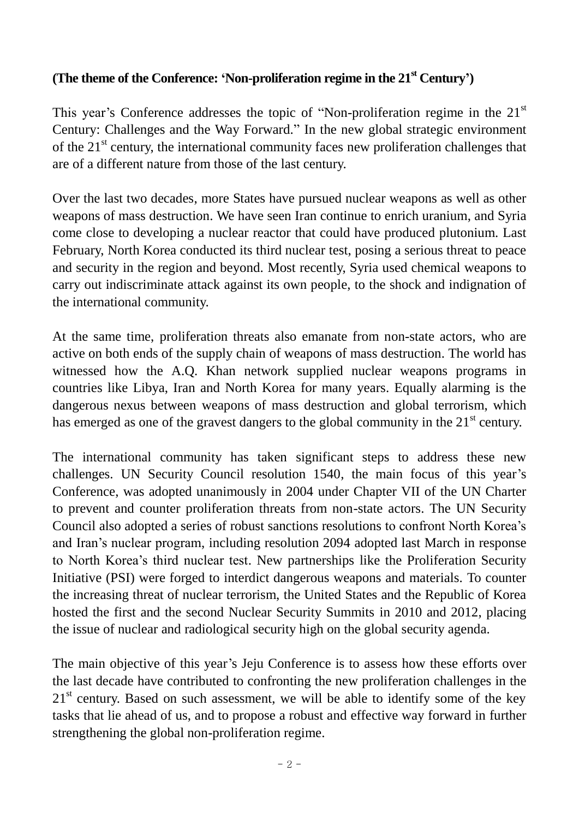### **(The theme of the Conference: 'Non-proliferation regime in the 21st Century')**

This year's Conference addresses the topic of "Non-proliferation regime in the  $21<sup>st</sup>$ Century: Challenges and the Way Forward." In the new global strategic environment of the  $21<sup>st</sup>$  century, the international community faces new proliferation challenges that are of a different nature from those of the last century.

Over the last two decades, more States have pursued nuclear weapons as well as other weapons of mass destruction. We have seen Iran continue to enrich uranium, and Syria come close to developing a nuclear reactor that could have produced plutonium. Last February, North Korea conducted its third nuclear test, posing a serious threat to peace and security in the region and beyond. Most recently, Syria used chemical weapons to carry out indiscriminate attack against its own people, to the shock and indignation of the international community.

At the same time, proliferation threats also emanate from non-state actors, who are active on both ends of the supply chain of weapons of mass destruction. The world has witnessed how the A.Q. Khan network supplied nuclear weapons programs in countries like Libya, Iran and North Korea for many years. Equally alarming is the dangerous nexus between weapons of mass destruction and global terrorism, which has emerged as one of the gravest dangers to the global community in the  $21<sup>st</sup>$  century.

The international community has taken significant steps to address these new challenges. UN Security Council resolution 1540, the main focus of this year's Conference, was adopted unanimously in 2004 under Chapter VII of the UN Charter to prevent and counter proliferation threats from non-state actors. The UN Security Council also adopted a series of robust sanctions resolutions to confront North Korea's and Iran's nuclear program, including resolution 2094 adopted last March in response to North Korea's third nuclear test. New partnerships like the Proliferation Security Initiative (PSI) were forged to interdict dangerous weapons and materials. To counter the increasing threat of nuclear terrorism, the United States and the Republic of Korea hosted the first and the second Nuclear Security Summits in 2010 and 2012, placing the issue of nuclear and radiological security high on the global security agenda.

The main objective of this year's Jeju Conference is to assess how these efforts over the last decade have contributed to confronting the new proliferation challenges in the  $21<sup>st</sup>$  century. Based on such assessment, we will be able to identify some of the key tasks that lie ahead of us, and to propose a robust and effective way forward in further strengthening the global non-proliferation regime.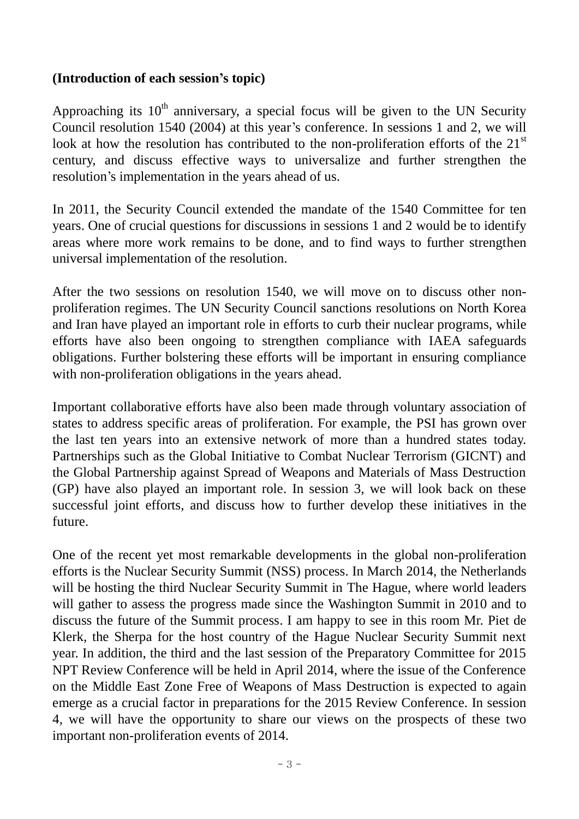# **(Introduction of each session's topic)**

Approaching its  $10<sup>th</sup>$  anniversary, a special focus will be given to the UN Security Council resolution 1540 (2004) at this year's conference. In sessions 1 and 2, we will look at how the resolution has contributed to the non-proliferation efforts of the  $21<sup>st</sup>$ century, and discuss effective ways to universalize and further strengthen the resolution's implementation in the years ahead of us.

In 2011, the Security Council extended the mandate of the 1540 Committee for ten years. One of crucial questions for discussions in sessions 1 and 2 would be to identify areas where more work remains to be done, and to find ways to further strengthen universal implementation of the resolution.

After the two sessions on resolution 1540, we will move on to discuss other nonproliferation regimes. The UN Security Council sanctions resolutions on North Korea and Iran have played an important role in efforts to curb their nuclear programs, while efforts have also been ongoing to strengthen compliance with IAEA safeguards obligations. Further bolstering these efforts will be important in ensuring compliance with non-proliferation obligations in the years ahead.

Important collaborative efforts have also been made through voluntary association of states to address specific areas of proliferation. For example, the PSI has grown over the last ten years into an extensive network of more than a hundred states today. Partnerships such as the Global Initiative to Combat Nuclear Terrorism (GICNT) and the Global Partnership against Spread of Weapons and Materials of Mass Destruction (GP) have also played an important role. In session 3, we will look back on these successful joint efforts, and discuss how to further develop these initiatives in the future.

One of the recent yet most remarkable developments in the global non-proliferation efforts is the Nuclear Security Summit (NSS) process. In March 2014, the Netherlands will be hosting the third Nuclear Security Summit in The Hague, where world leaders will gather to assess the progress made since the Washington Summit in 2010 and to discuss the future of the Summit process. I am happy to see in this room Mr. Piet de Klerk, the Sherpa for the host country of the Hague Nuclear Security Summit next year. In addition, the third and the last session of the Preparatory Committee for 2015 NPT Review Conference will be held in April 2014, where the issue of the Conference on the Middle East Zone Free of Weapons of Mass Destruction is expected to again emerge as a crucial factor in preparations for the 2015 Review Conference. In session 4, we will have the opportunity to share our views on the prospects of these two important non-proliferation events of 2014.